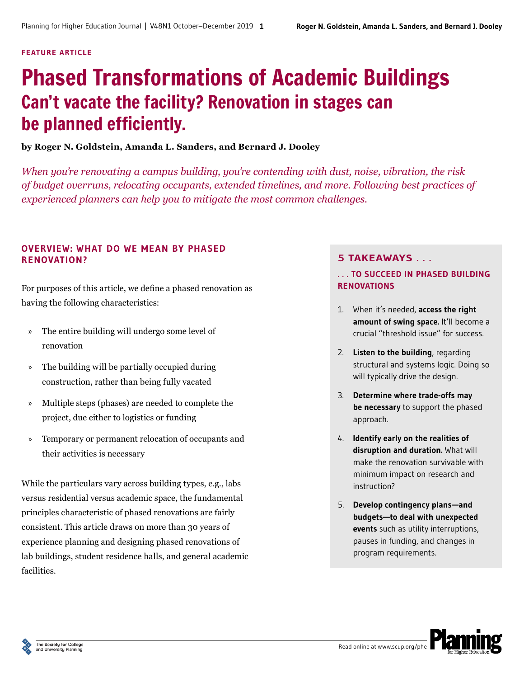#### **FEATURE ARTICLE**

# Phased Transformations of Academic Buildings Can't vacate the facility? Renovation in stages can be planned efficiently.

## **by Roger N. Goldstein, Amanda L. Sanders, and Bernard J. Dooley**

*When you're renovating a campus building, you're contending with dust, noise, vibration, the risk of budget overruns, relocating occupants, extended timelines, and more. Following best practices of experienced planners can help you to mitigate the most common challenges.*

## **OVERVIEW: WHAT DO WE MEAN BY PHASED RENOVATION?**

For purposes of this article, we define a phased renovation as having the following characteristics:

- » The entire building will undergo some level of renovation
- » The building will be partially occupied during construction, rather than being fully vacated
- » Multiple steps (phases) are needed to complete the project, due either to logistics or funding
- » Temporary or permanent relocation of occupants and their activities is necessary

While the particulars vary across building types, e.g., labs versus residential versus academic space, the fundamental principles characteristic of phased renovations are fairly consistent. This article draws on more than 30 years of experience planning and designing phased renovations of lab buildings, student residence halls, and general academic facilities.

## **5 TAKEAWAYS . . .**

## **. . . TO SUCCEED IN PHASED BUILDING RENOVATIONS**

- 1. When it's needed, **access the right**  amount of swing space. It'll become a crucial "threshold issue" for success.
- 2. **Listen to the building**, regarding structural and systems logic. Doing so will typically drive the design.
- 3. **Determine where trade-offs may be necessary** to support the phased approach.
- 4. **Identify early on the realities of disruption and duration.** What will make the renovation survivable with minimum impact on research and instruction?
- 5. **Develop contingency plans—and budgets—to deal with unexpected events** such as utility interruptions, pauses in funding, and changes in program requirements.

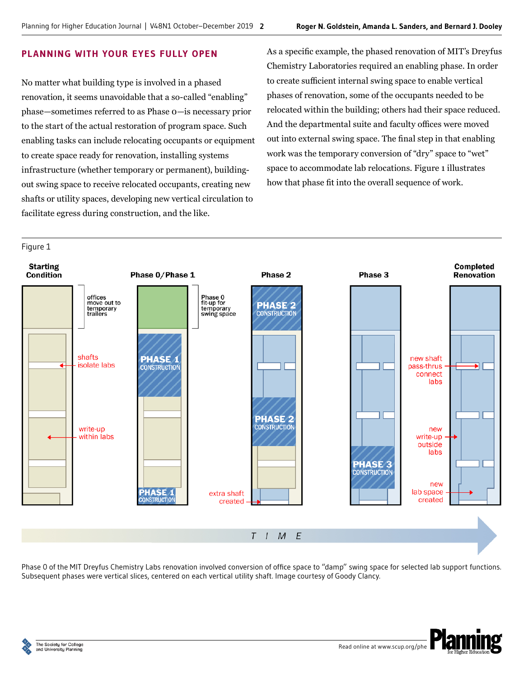## **PLANNING WITH YOUR EYES FULLY OPEN**

No matter what building type is involved in a phased renovation, it seems unavoidable that a so-called "enabling" phase—sometimes referred to as Phase 0—is necessary prior to the start of the actual restoration of program space. Such enabling tasks can include relocating occupants or equipment to create space ready for renovation, installing systems infrastructure (whether temporary or permanent), buildingout swing space to receive relocated occupants, creating new shafts or utility spaces, developing new vertical circulation to facilitate egress during construction, and the like.

As a specific example, the phased renovation of MIT's Dreyfus Chemistry Laboratories required an enabling phase. In order to create sufficient internal swing space to enable vertical phases of renovation, some of the occupants needed to be relocated within the building; others had their space reduced. And the departmental suite and faculty offices were moved out into external swing space. The final step in that enabling work was the temporary conversion of "dry" space to "wet" space to accommodate lab relocations. Figure 1 illustrates how that phase fit into the overall sequence of work.



Phase 0 of the MIT Dreyfus Chemistry Labs renovation involved conversion of office space to "damp" swing space for selected lab support functions. Subsequent phases were vertical slices, centered on each vertical utility shaft. Image courtesy of Goody Clancy.



Figure 1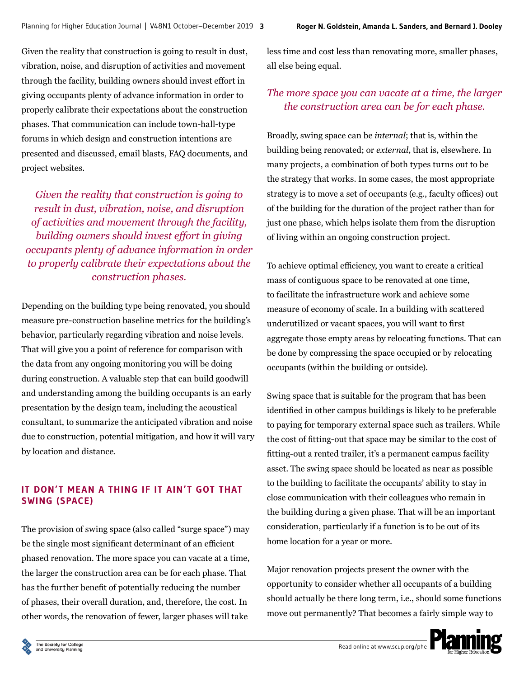Given the reality that construction is going to result in dust, vibration, noise, and disruption of activities and movement through the facility, building owners should invest effort in giving occupants plenty of advance information in order to properly calibrate their expectations about the construction phases. That communication can include town-hall-type forums in which design and construction intentions are presented and discussed, email blasts, FAQ documents, and project websites.

*Given the reality that construction is going to result in dust, vibration, noise, and disruption of activities and movement through the facility, building owners should invest effort in giving occupants plenty of advance information in order to properly calibrate their expectations about the construction phases.*

Depending on the building type being renovated, you should measure pre-construction baseline metrics for the building's behavior, particularly regarding vibration and noise levels. That will give you a point of reference for comparison with the data from any ongoing monitoring you will be doing during construction. A valuable step that can build goodwill and understanding among the building occupants is an early presentation by the design team, including the acoustical consultant, to summarize the anticipated vibration and noise due to construction, potential mitigation, and how it will vary by location and distance.

## **IT DON'T MEAN A THING IF IT AIN'T GOT THAT SWING (SPACE)**

The provision of swing space (also called "surge space") may be the single most significant determinant of an efficient phased renovation. The more space you can vacate at a time, the larger the construction area can be for each phase. That has the further benefit of potentially reducing the number of phases, their overall duration, and, therefore, the cost. In other words, the renovation of fewer, larger phases will take

less time and cost less than renovating more, smaller phases, all else being equal.

## *The more space you can vacate at a time, the larger the construction area can be for each phase.*

Broadly, swing space can be *internal*; that is, within the building being renovated; or *external*, that is, elsewhere. In many projects, a combination of both types turns out to be the strategy that works. In some cases, the most appropriate strategy is to move a set of occupants (e.g., faculty offices) out of the building for the duration of the project rather than for just one phase, which helps isolate them from the disruption of living within an ongoing construction project.

To achieve optimal efficiency, you want to create a critical mass of contiguous space to be renovated at one time, to facilitate the infrastructure work and achieve some measure of economy of scale. In a building with scattered underutilized or vacant spaces, you will want to first aggregate those empty areas by relocating functions. That can be done by compressing the space occupied or by relocating occupants (within the building or outside).

Swing space that is suitable for the program that has been identified in other campus buildings is likely to be preferable to paying for temporary external space such as trailers. While the cost of fitting-out that space may be similar to the cost of fitting-out a rented trailer, it's a permanent campus facility asset. The swing space should be located as near as possible to the building to facilitate the occupants' ability to stay in close communication with their colleagues who remain in the building during a given phase. That will be an important consideration, particularly if a function is to be out of its home location for a year or more.

Major renovation projects present the owner with the opportunity to consider whether all occupants of a building should actually be there long term, i.e., should some functions move out permanently? That becomes a fairly simple way to

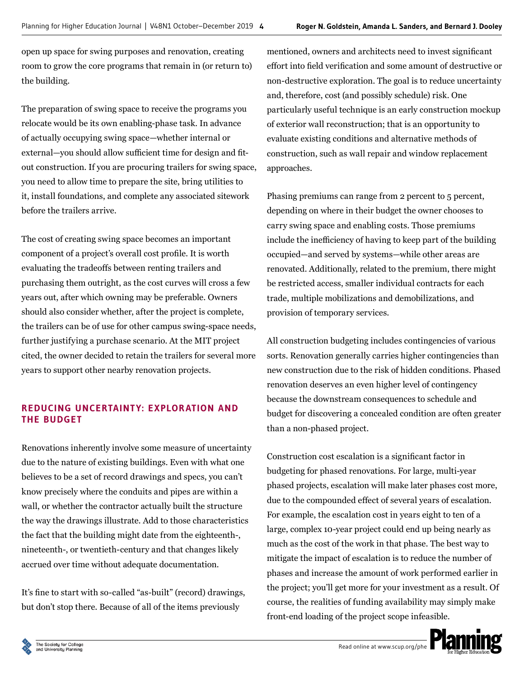open up space for swing purposes and renovation, creating room to grow the core programs that remain in (or return to) the building.

The preparation of swing space to receive the programs you relocate would be its own enabling-phase task. In advance of actually occupying swing space—whether internal or external—you should allow sufficient time for design and fitout construction. If you are procuring trailers for swing space, you need to allow time to prepare the site, bring utilities to it, install foundations, and complete any associated sitework before the trailers arrive.

The cost of creating swing space becomes an important component of a project's overall cost profile. It is worth evaluating the tradeoffs between renting trailers and purchasing them outright, as the cost curves will cross a few years out, after which owning may be preferable. Owners should also consider whether, after the project is complete, the trailers can be of use for other campus swing-space needs, further justifying a purchase scenario. At the MIT project cited, the owner decided to retain the trailers for several more years to support other nearby renovation projects.

## **REDUCING UNCERTAINTY: EXPLORATION AND THE BUDGET**

Renovations inherently involve some measure of uncertainty due to the nature of existing buildings. Even with what one believes to be a set of record drawings and specs, you can't know precisely where the conduits and pipes are within a wall, or whether the contractor actually built the structure the way the drawings illustrate. Add to those characteristics the fact that the building might date from the eighteenth-, nineteenth-, or twentieth-century and that changes likely accrued over time without adequate documentation.

It's fine to start with so-called "as-built" (record) drawings, but don't stop there. Because of all of the items previously

mentioned, owners and architects need to invest significant effort into field verification and some amount of destructive or non-destructive exploration. The goal is to reduce uncertainty and, therefore, cost (and possibly schedule) risk. One particularly useful technique is an early construction mockup of exterior wall reconstruction; that is an opportunity to evaluate existing conditions and alternative methods of construction, such as wall repair and window replacement approaches.

Phasing premiums can range from 2 percent to 5 percent, depending on where in their budget the owner chooses to carry swing space and enabling costs. Those premiums include the inefficiency of having to keep part of the building occupied—and served by systems—while other areas are renovated. Additionally, related to the premium, there might be restricted access, smaller individual contracts for each trade, multiple mobilizations and demobilizations, and provision of temporary services.

All construction budgeting includes contingencies of various sorts. Renovation generally carries higher contingencies than new construction due to the risk of hidden conditions. Phased renovation deserves an even higher level of contingency because the downstream consequences to schedule and budget for discovering a concealed condition are often greater than a non-phased project.

Construction cost escalation is a significant factor in budgeting for phased renovations. For large, multi-year phased projects, escalation will make later phases cost more, due to the compounded effect of several years of escalation. For example, the escalation cost in years eight to ten of a large, complex 10-year project could end up being nearly as much as the cost of the work in that phase. The best way to mitigate the impact of escalation is to reduce the number of phases and increase the amount of work performed earlier in the project; you'll get more for your investment as a result. Of course, the realities of funding availability may simply make front-end loading of the project scope infeasible.

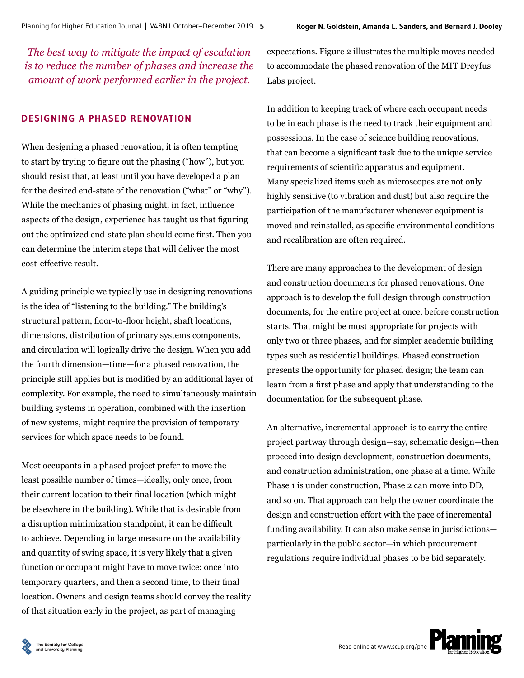*The best way to mitigate the impact of escalation is to reduce the number of phases and increase the amount of work performed earlier in the project.* 

## **DESIGNING A PHASED RENOVATION**

When designing a phased renovation, it is often tempting to start by trying to figure out the phasing ("how"), but you should resist that, at least until you have developed a plan for the desired end-state of the renovation ("what" or "why"). While the mechanics of phasing might, in fact, influence aspects of the design, experience has taught us that figuring out the optimized end-state plan should come first. Then you can determine the interim steps that will deliver the most cost-effective result.

A guiding principle we typically use in designing renovations is the idea of "listening to the building." The building's structural pattern, floor-to-floor height, shaft locations, dimensions, distribution of primary systems components, and circulation will logically drive the design. When you add the fourth dimension—time—for a phased renovation, the principle still applies but is modified by an additional layer of complexity. For example, the need to simultaneously maintain building systems in operation, combined with the insertion of new systems, might require the provision of temporary services for which space needs to be found.

Most occupants in a phased project prefer to move the least possible number of times—ideally, only once, from their current location to their final location (which might be elsewhere in the building). While that is desirable from a disruption minimization standpoint, it can be difficult to achieve. Depending in large measure on the availability and quantity of swing space, it is very likely that a given function or occupant might have to move twice: once into temporary quarters, and then a second time, to their final location. Owners and design teams should convey the reality of that situation early in the project, as part of managing

expectations. Figure 2 illustrates the multiple moves needed to accommodate the phased renovation of the MIT Dreyfus Labs project.

In addition to keeping track of where each occupant needs to be in each phase is the need to track their equipment and possessions. In the case of science building renovations, that can become a significant task due to the unique service requirements of scientific apparatus and equipment. Many specialized items such as microscopes are not only highly sensitive (to vibration and dust) but also require the participation of the manufacturer whenever equipment is moved and reinstalled, as specific environmental conditions and recalibration are often required.

There are many approaches to the development of design and construction documents for phased renovations. One approach is to develop the full design through construction documents, for the entire project at once, before construction starts. That might be most appropriate for projects with only two or three phases, and for simpler academic building types such as residential buildings. Phased construction presents the opportunity for phased design; the team can learn from a first phase and apply that understanding to the documentation for the subsequent phase.

An alternative, incremental approach is to carry the entire project partway through design—say, schematic design—then proceed into design development, construction documents, and construction administration, one phase at a time. While Phase 1 is under construction, Phase 2 can move into DD, and so on. That approach can help the owner coordinate the design and construction effort with the pace of incremental funding availability. It can also make sense in jurisdictions particularly in the public sector—in which procurement regulations require individual phases to be bid separately.

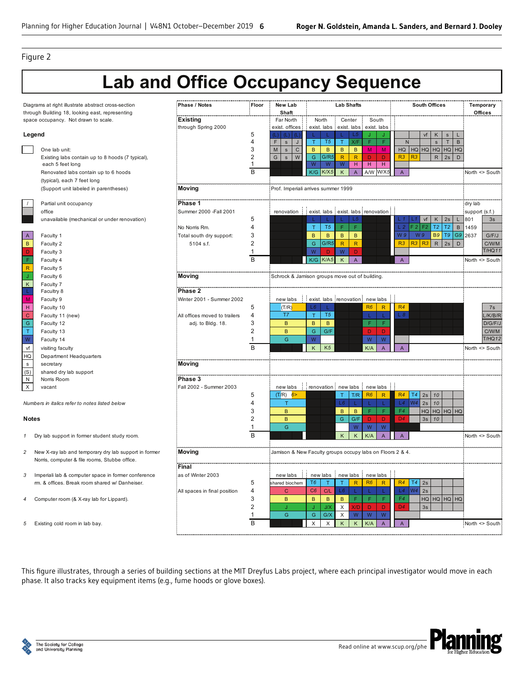#### Figure 2

# **Lab and Office Occupancy Sequence**

| Diagrams at right illustrate abstract cross-section<br>through Building 18, looking east, representing |                                                     | Phase / Notes                 | Floor                                                     | New Lab<br>Shaft                    | <b>Lab Shafts</b>                                               |                        | <b>South Offices</b>       |                        |                | Temporary<br>Offices |  |
|--------------------------------------------------------------------------------------------------------|-----------------------------------------------------|-------------------------------|-----------------------------------------------------------|-------------------------------------|-----------------------------------------------------------------|------------------------|----------------------------|------------------------|----------------|----------------------|--|
| space occupancy. Not drawn to scale.                                                                   |                                                     | <b>Existing</b>               |                                                           | Far North                           | North<br>Center                                                 | South                  |                            |                        |                |                      |  |
|                                                                                                        |                                                     | through Spring 2000           |                                                           | exist. offices                      | exist. labs<br>exist. labs                                      | exist. labs            |                            |                        |                |                      |  |
| Legend                                                                                                 |                                                     |                               | 5                                                         |                                     | L5                                                              |                        | vf                         | K<br>$\mathbf{s}$      |                |                      |  |
|                                                                                                        |                                                     |                               | 4                                                         | F.<br>$\mathbf{s}$<br>J             | T5<br>X/F<br>Τ                                                  | $\mathsf F$<br>F       | ${\sf N}$                  | $\top$<br>$\mathbf{s}$ | $\mathsf B$    |                      |  |
|                                                                                                        | One lab unit:                                       |                               | 3                                                         | ${\sf M}$<br>S<br>$\mathsf{C}$      | B<br>$\mathsf{B}$<br>B.<br>B                                    | M<br>M                 | $HG$ $HQ$ $HQ$ $HQ$ $HQ$   |                        | HO             |                      |  |
|                                                                                                        | Existing labs contain up to 8 hoods (7 typical),    |                               | $\overline{2}$                                            | G<br>W<br>$\mathbf{s}$              | ${\mathsf G}$<br>G/R5<br>R<br>R                                 | D<br>D.                | R3<br>R3                   | $\mathsf{R}$<br>2s     | D              |                      |  |
|                                                                                                        | each 5 feet long                                    |                               | 1                                                         |                                     | W<br>W<br>W<br>H                                                | H<br>$\mathsf H$       |                            |                        |                |                      |  |
|                                                                                                        | Renovated labs contain up to 6 hoods                |                               | $\overline{B}$                                            |                                     | K/X5<br>K/G<br>K<br>$\overline{A}$                              | W/X.<br>A/W            | $\mathsf A$                |                        | North <> South |                      |  |
|                                                                                                        | (typical), each 7 feet long                         |                               |                                                           |                                     |                                                                 |                        |                            |                        |                |                      |  |
|                                                                                                        | (Support unit labeled in parentheses)               | Moving                        |                                                           | Prof. Imperiali arrives summer 1999 |                                                                 |                        |                            |                        |                |                      |  |
|                                                                                                        | Partial unit occupancy                              | Phase 1                       |                                                           |                                     |                                                                 |                        |                            | dry lab                |                |                      |  |
|                                                                                                        | office                                              | Summer 2000 - Fall 2001       |                                                           |                                     | renovation exist. labs exist. labs renovation                   |                        |                            |                        | support (s.f.) |                      |  |
|                                                                                                        |                                                     |                               | 5                                                         |                                     | L5                                                              |                        | vf                         | 2s<br>K                | 801            | 3s                   |  |
|                                                                                                        | unavailable (mechanical or under renovation)        | No Norris Rm.                 | 4                                                         |                                     | F.<br>T5<br>F.<br>T                                             |                        | F <sub>2</sub>             | T2<br>T <sub>2</sub>   | B<br>1459      |                      |  |
|                                                                                                        |                                                     |                               | 3                                                         |                                     | $\overline{B}$                                                  |                        | W <sub>9</sub><br>W 9      | <b>B9</b><br>T9        | G9<br>2637     |                      |  |
| A                                                                                                      | Faculty 1                                           | Total south dry support:      |                                                           |                                     | $\mathsf{B}$<br>$\mathsf{B}$<br>B<br>G/R5                       |                        | R3<br>$R3$ $R3$            |                        |                | G/F/J                |  |
| $\,$ B                                                                                                 | Faculty 2                                           | 5104 s.f.                     | 2                                                         |                                     | ${\mathsf G}$<br>$\mathsf{R}$<br>R                              |                        |                            | ${\sf R}$<br>2s        | D              | C/W/M<br>T/HQ11      |  |
| D                                                                                                      | Faculty 3                                           |                               | $\mathbf 1$                                               |                                     | W<br>W<br>D<br>D                                                |                        |                            |                        |                |                      |  |
| F                                                                                                      | Faculty 4                                           |                               | B                                                         |                                     | K/A5<br>$\sf K$<br>K/G<br>$\overline{A}$                        |                        | $\boldsymbol{\mathsf{A}}$  |                        | North <> South |                      |  |
| $\mathsf R$                                                                                            | Faculty 5                                           |                               |                                                           |                                     |                                                                 |                        |                            |                        |                |                      |  |
| Ĵ                                                                                                      | Faculty 6                                           | Moving                        |                                                           |                                     | Schrock & Jamison groups move out of building.                  |                        |                            |                        |                |                      |  |
| $\mathsf K$                                                                                            | Faculty 7                                           |                               |                                                           |                                     |                                                                 |                        |                            |                        |                |                      |  |
|                                                                                                        | Facultry 8                                          | Phase 2                       |                                                           |                                     |                                                                 |                        |                            |                        |                |                      |  |
| M                                                                                                      | Faculty 9                                           | Winter 2001 - Summer 2002     |                                                           |                                     | new labs : exist. labs renovation : new labs                    |                        |                            |                        |                |                      |  |
| H                                                                                                      | Faculty 10                                          |                               | 5                                                         | (T/R)                               | L6                                                              | R6<br>$\mathsf{R}$     | R4                         |                        |                | 7s                   |  |
| $\mathbf C$                                                                                            | Faculty 11 (new)                                    | All offices moved to trailers | 4                                                         | T7                                  | T <sub>5</sub><br>$\mathsf{T}$                                  | L.<br>-11              | L8                         |                        |                | /K/B/R               |  |
| ${\mathsf G}$                                                                                          | Faculty 12                                          | adj. to Bldg. 18.             | 3                                                         | B                                   | $\,$ B<br>B                                                     | F<br>F                 |                            |                        |                | D/G/F/J              |  |
| $\mathsf T$                                                                                            | Faculty 13                                          |                               | $\overline{2}$                                            | B                                   | ${\mathsf G}$<br>G/F                                            | D<br>D                 |                            |                        |                | C/W/M                |  |
| W                                                                                                      | Faculty 14                                          |                               | -1                                                        | Ġ                                   | W                                                               | ${\sf W}$<br>${\sf W}$ |                            |                        |                | T/HQ12               |  |
| vf                                                                                                     | visiting faculty                                    |                               | B                                                         |                                     | K <sub>5</sub><br>K                                             | K/A<br>$\overline{A}$  | $\mathsf{A}$               |                        | North <> South |                      |  |
| HQ                                                                                                     | Department Headquarters                             |                               |                                                           |                                     |                                                                 |                        |                            |                        |                |                      |  |
| $\mathbf s$                                                                                            | secretary                                           | Moving                        |                                                           |                                     |                                                                 |                        |                            |                        |                |                      |  |
| (S)                                                                                                    | shared dry lab support                              |                               |                                                           |                                     |                                                                 |                        |                            |                        |                |                      |  |
| ${\sf N}$                                                                                              | Norris Room                                         | Phase 3                       |                                                           |                                     |                                                                 |                        |                            |                        |                |                      |  |
| X                                                                                                      | vacant                                              | Fall 2002 - Summer 2003       |                                                           | new labs                            | renovation new labs                                             | new labs               |                            |                        |                |                      |  |
|                                                                                                        |                                                     |                               | 5                                                         | (T/R)<br>6 <sup>5</sup>             | T/R<br>T.                                                       | R6<br>$\mathsf{R}$     | T4<br>R4<br>$2s$ 10        |                        |                |                      |  |
|                                                                                                        | Numbers in italics refer to notes listed below      |                               | Δ                                                         | $\top$                              | L6                                                              | L.<br>L                | W <sub>4</sub><br>2s<br>L4 | 10                     |                |                      |  |
|                                                                                                        |                                                     |                               | 3                                                         | B                                   | $\mathsf{B}$<br>$\mathsf{B}$                                    | F<br>F.                | F4                         | $HG$ HQ $HQ$ HQ        |                |                      |  |
| <b>Notes</b>                                                                                           |                                                     |                               | $\overline{2}$                                            | B                                   | G.<br>G/F                                                       | D<br>D                 | D4                         | $3s$ 10                |                |                      |  |
|                                                                                                        |                                                     |                               | $\mathbf{1}$                                              | Ġ                                   | W                                                               | ${\sf W}$<br>${\sf W}$ |                            |                        |                |                      |  |
|                                                                                                        |                                                     |                               | B                                                         |                                     | K<br>K                                                          | K/A<br>$\overline{A}$  | $\overline{A}$             |                        | North <> South |                      |  |
| 1                                                                                                      | Dry lab support in former student study room.       |                               |                                                           |                                     |                                                                 |                        |                            |                        |                |                      |  |
|                                                                                                        |                                                     |                               |                                                           |                                     |                                                                 |                        |                            |                        |                |                      |  |
| New X-ray lab and temporary dry lab support in former<br>2                                             |                                                     | Moving                        | Jamison & New Faculty groups occupy labs on Floors 2 & 4. |                                     |                                                                 |                        |                            |                        |                |                      |  |
|                                                                                                        | Norris, computer & file rooms, Stubbe office.       |                               |                                                           |                                     |                                                                 |                        |                            |                        |                |                      |  |
|                                                                                                        |                                                     | Final                         |                                                           |                                     |                                                                 |                        |                            |                        |                |                      |  |
| 3                                                                                                      | Imperiali lab & computer space in former conference | as of Winter 2003             |                                                           | new labs                            | new labs   new labs   new labs                                  |                        |                            |                        |                |                      |  |
|                                                                                                        | rm. & offices. Break room shared w/ Danheiser.      |                               | 5                                                         | hared biochem                       | T <sub>6</sub><br>$\overline{R}$<br>$\mathsf{T}$<br>$\mathbf T$ | R6<br>$\overline{R}$   | T4<br>R4<br>2s             |                        |                |                      |  |
|                                                                                                        |                                                     | All spaces in final position  | 4                                                         | $\mathsf{C}$                        | C6<br>L6<br>C/L                                                 | L.<br>L                | W <sub>4</sub><br>L4<br>2s |                        |                |                      |  |
|                                                                                                        | Computer room (& X-ray lab for Lippard).            |                               | 3                                                         | $\,$ B                              | F.<br>$\mathsf B$<br>$\,$ B<br>$\, {\bf B}$                     | F.<br>F                | F4                         | HQ HQ HQ HQ            |                |                      |  |
|                                                                                                        |                                                     |                               | $\overline{2}$                                            | ÷.                                  | X<br>J/X<br>X/D                                                 | $\mathbf{D}$<br>D      | D4<br>3s                   |                        |                |                      |  |
|                                                                                                        |                                                     |                               |                                                           | G                                   | G/X<br>${\sf W}$<br>${\mathsf G}$<br>X                          | W<br>${\sf W}$         |                            |                        |                |                      |  |
| 5                                                                                                      | Existing cold room in lab bay.                      |                               | <sub>B</sub>                                              |                                     | X<br>X<br>K<br>K                                                | K/A<br>$\overline{A}$  | $\boldsymbol{\mathsf{A}}$  |                        | North <> South |                      |  |
|                                                                                                        |                                                     |                               |                                                           |                                     |                                                                 |                        |                            |                        |                |                      |  |

This figure illustrates, through a series of building sections at the MIT Dreyfus Labs project, where each principal investigator would move in each phase. It also tracks key equipment items (e.g., fume hoods or glove boxes).

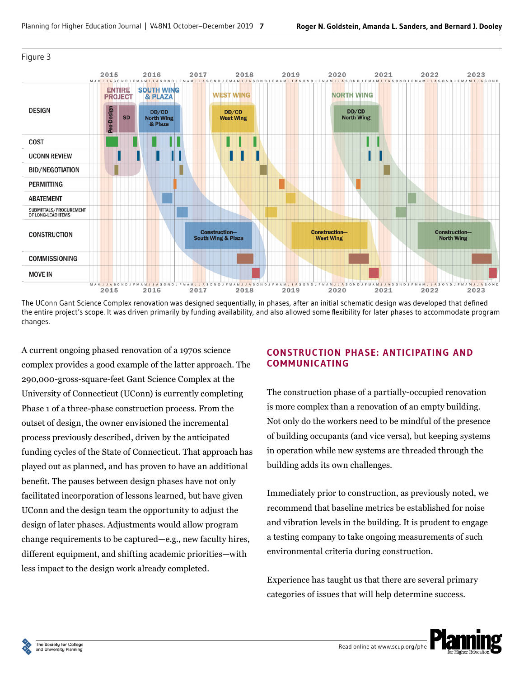

#### Figure 3

The UConn Gant Science Complex renovation was designed sequentially, in phases, after an initial schematic design was developed that defined the entire project's scope. It was driven primarily by funding availability, and also allowed some flexibility for later phases to accommodate program changes.

A current ongoing phased renovation of a 1970s science complex provides a good example of the latter approach. The 290,000-gross-square-feet Gant Science Complex at the University of Connecticut (UConn) is currently completing Phase 1 of a three-phase construction process. From the outset of design, the owner envisioned the incremental process previously described, driven by the anticipated funding cycles of the State of Connecticut. That approach has played out as planned, and has proven to have an additional benefit. The pauses between design phases have not only facilitated incorporation of lessons learned, but have given UConn and the design team the opportunity to adjust the design of later phases. Adjustments would allow program change requirements to be captured—e.g., new faculty hires, different equipment, and shifting academic priorities—with less impact to the design work already completed.

## **CONSTRUCTION PHASE: ANTICIPATING AND COMMUNICATING**

The construction phase of a partially-occupied renovation is more complex than a renovation of an empty building. Not only do the workers need to be mindful of the presence of building occupants (and vice versa), but keeping systems in operation while new systems are threaded through the building adds its own challenges.

Immediately prior to construction, as previously noted, we recommend that baseline metrics be established for noise and vibration levels in the building. It is prudent to engage a testing company to take ongoing measurements of such environmental criteria during construction.

Experience has taught us that there are several primary categories of issues that will help determine success.

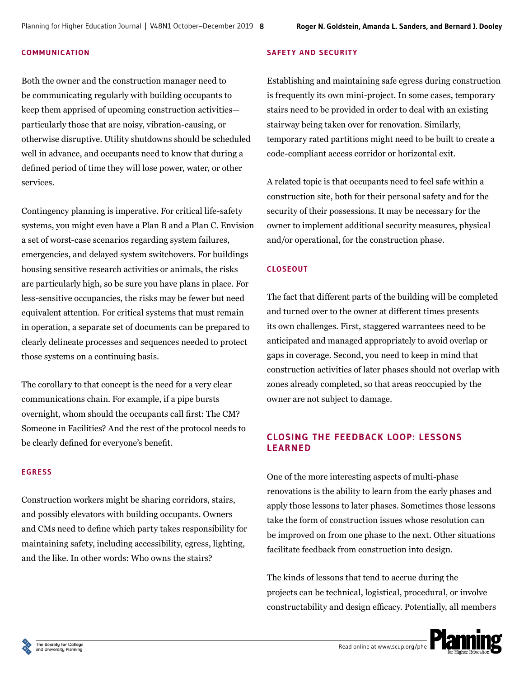#### **COMMUNICATION**

Both the owner and the construction manager need to be communicating regularly with building occupants to keep them apprised of upcoming construction activities particularly those that are noisy, vibration-causing, or otherwise disruptive. Utility shutdowns should be scheduled well in advance, and occupants need to know that during a defined period of time they will lose power, water, or other services.

Contingency planning is imperative. For critical life-safety systems, you might even have a Plan B and a Plan C. Envision a set of worst-case scenarios regarding system failures, emergencies, and delayed system switchovers. For buildings housing sensitive research activities or animals, the risks are particularly high, so be sure you have plans in place. For less-sensitive occupancies, the risks may be fewer but need equivalent attention. For critical systems that must remain in operation, a separate set of documents can be prepared to clearly delineate processes and sequences needed to protect those systems on a continuing basis.

The corollary to that concept is the need for a very clear communications chain. For example, if a pipe bursts overnight, whom should the occupants call first: The CM? Someone in Facilities? And the rest of the protocol needs to be clearly defined for everyone's benefit.

#### **EGRESS**

Construction workers might be sharing corridors, stairs, and possibly elevators with building occupants. Owners and CMs need to define which party takes responsibility for maintaining safety, including accessibility, egress, lighting, and the like. In other words: Who owns the stairs?

#### **SAFETY AND SECURITY**

Establishing and maintaining safe egress during construction is frequently its own mini-project. In some cases, temporary stairs need to be provided in order to deal with an existing stairway being taken over for renovation. Similarly, temporary rated partitions might need to be built to create a code-compliant access corridor or horizontal exit.

A related topic is that occupants need to feel safe within a construction site, both for their personal safety and for the security of their possessions. It may be necessary for the owner to implement additional security measures, physical and/or operational, for the construction phase.

#### **CLOSEOUT**

The fact that different parts of the building will be completed and turned over to the owner at different times presents its own challenges. First, staggered warrantees need to be anticipated and managed appropriately to avoid overlap or gaps in coverage. Second, you need to keep in mind that construction activities of later phases should not overlap with zones already completed, so that areas reoccupied by the owner are not subject to damage.

## **CLOSING THE FEEDBACK LOOP: LESSONS LEARNED**

One of the more interesting aspects of multi-phase renovations is the ability to learn from the early phases and apply those lessons to later phases. Sometimes those lessons take the form of construction issues whose resolution can be improved on from one phase to the next. Other situations facilitate feedback from construction into design.

The kinds of lessons that tend to accrue during the projects can be technical, logistical, procedural, or involve constructability and design efficacy. Potentially, all members

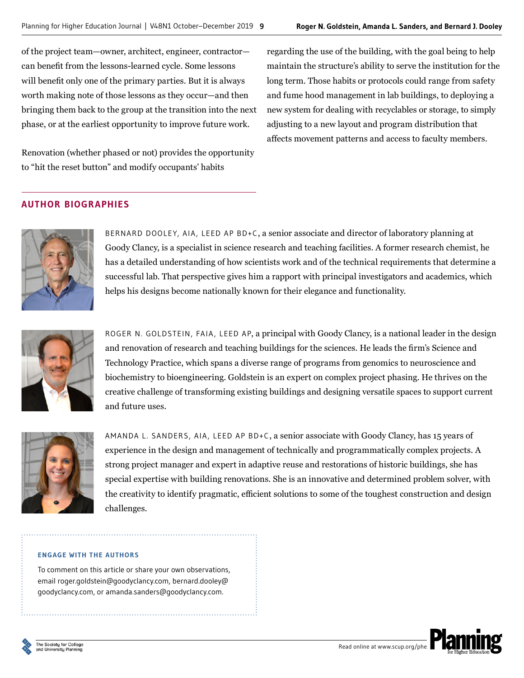of the project team—owner, architect, engineer, contractor can benefit from the lessons-learned cycle. Some lessons will benefit only one of the primary parties. But it is always worth making note of those lessons as they occur—and then bringing them back to the group at the transition into the next phase, or at the earliest opportunity to improve future work.

Renovation (whether phased or not) provides the opportunity to "hit the reset button" and modify occupants' habits

regarding the use of the building, with the goal being to help maintain the structure's ability to serve the institution for the long term. Those habits or protocols could range from safety and fume hood management in lab buildings, to deploying a new system for dealing with recyclables or storage, to simply adjusting to a new layout and program distribution that affects movement patterns and access to faculty members.

## **AUTHOR BIOGRAPHIES**



BERNARD DOOLEY, AIA, LEED AP BD+C, a senior associate and director of laboratory planning at Goody Clancy, is a specialist in science research and teaching facilities. A former research chemist, he has a detailed understanding of how scientists work and of the technical requirements that determine a successful lab. That perspective gives him a rapport with principal investigators and academics, which helps his designs become nationally known for their elegance and functionality.



ROGER N. GOLDSTEIN, FAIA, LEED AP, a principal with Goody Clancy, is a national leader in the design and renovation of research and teaching buildings for the sciences. He leads the firm's Science and Technology Practice, which spans a diverse range of programs from genomics to neuroscience and biochemistry to bioengineering. Goldstein is an expert on complex project phasing. He thrives on the creative challenge of transforming existing buildings and designing versatile spaces to support current and future uses.



AMANDA L. SANDERS, AIA, LEED AP BD+C, a senior associate with Goody Clancy, has 15 years of experience in the design and management of technically and programmatically complex projects. A strong project manager and expert in adaptive reuse and restorations of historic buildings, she has special expertise with building renovations. She is an innovative and determined problem solver, with the creativity to identify pragmatic, efficient solutions to some of the toughest construction and design challenges.

#### **ENGAGE WITH THE AUTHORS**

To comment on this article or share your own observations, email roger.goldstein@goodyclancy.com, bernard.dooley@ goodyclancy.com, or amanda.sanders@goodyclancy.com.